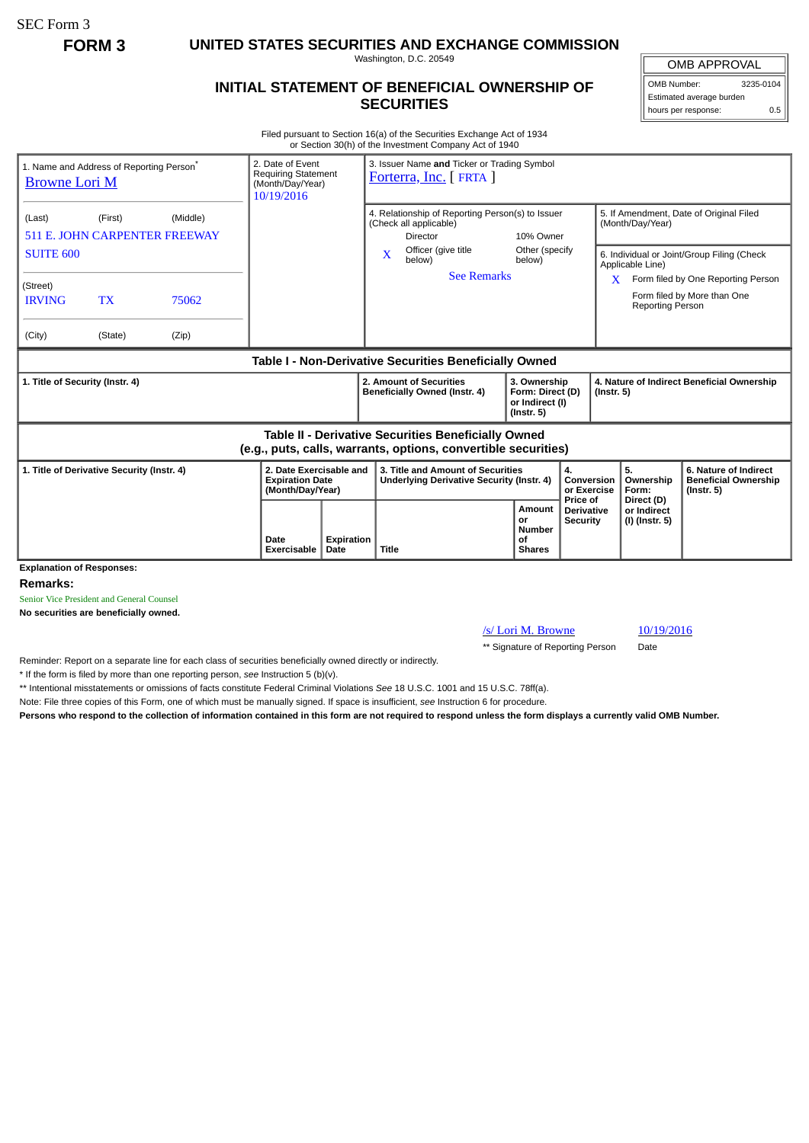SEC Form 3

**FORM 3 UNITED STATES SECURITIES AND EXCHANGE COMMISSION**

Washington, D.C. 20549

## **INITIAL STATEMENT OF BENEFICIAL OWNERSHIP OF SECURITIES**

OMB APPROVAL

OMB Number: 3235-0104 Estimated average burden hours per response: 0.5

Filed pursuant to Section 16(a) of the Securities Exchange Act of 1934 or Section 30(h) of the Investment Company Act of 1940

| 1. Name and Address of Reporting Person <sup>®</sup><br><b>Browne Lori M</b>                                                 | 2. Date of Event<br><b>Requiring Statement</b><br>(Month/Day/Year)<br>10/19/2016 | 3. Issuer Name and Ticker or Trading Symbol<br>Forterra, Inc. [FRTA ]                  |                                                                         |                                           |                                                                |                                                                          |
|------------------------------------------------------------------------------------------------------------------------------|----------------------------------------------------------------------------------|----------------------------------------------------------------------------------------|-------------------------------------------------------------------------|-------------------------------------------|----------------------------------------------------------------|--------------------------------------------------------------------------|
| (Middle)<br>(Last)<br>(First)<br><b>511 E. JOHN CARPENTER FREEWAY</b>                                                        |                                                                                  | 4. Relationship of Reporting Person(s) to Issuer<br>(Check all applicable)<br>Director | 10% Owner                                                               |                                           | 5. If Amendment, Date of Original Filed<br>(Month/Day/Year)    |                                                                          |
| <b>SUITE 600</b>                                                                                                             |                                                                                  | Officer (give title<br>$\mathbf{x}$<br>below)                                          | Other (specify<br>below)                                                |                                           | 6. Individual or Joint/Group Filing (Check<br>Applicable Line) |                                                                          |
| (Street)<br><b>IRVING</b><br><b>TX</b><br>75062                                                                              |                                                                                  | <b>See Remarks</b>                                                                     |                                                                         | X                                         | <b>Reporting Person</b>                                        | Form filed by One Reporting Person<br>Form filed by More than One        |
| (City)<br>(State)<br>(Zip)                                                                                                   |                                                                                  |                                                                                        |                                                                         |                                           |                                                                |                                                                          |
| Table I - Non-Derivative Securities Beneficially Owned                                                                       |                                                                                  |                                                                                        |                                                                         |                                           |                                                                |                                                                          |
| 1. Title of Security (Instr. 4)                                                                                              |                                                                                  | 2. Amount of Securities<br>Beneficially Owned (Instr. 4)                               | 3. Ownership<br>Form: Direct (D)<br>or Indirect (I)<br>$($ Instr. 5 $)$ |                                           | 4. Nature of Indirect Beneficial Ownership<br>$($ Instr. 5 $)$ |                                                                          |
| <b>Table II - Derivative Securities Beneficially Owned</b><br>(e.g., puts, calls, warrants, options, convertible securities) |                                                                                  |                                                                                        |                                                                         |                                           |                                                                |                                                                          |
| 1. Title of Derivative Security (Instr. 4)                                                                                   | 2. Date Exercisable and<br><b>Expiration Date</b><br>(Month/Day/Year)            | 3. Title and Amount of Securities<br>Underlying Derivative Security (Instr. 4)         |                                                                         | 4.<br>Conversion<br>or Exercise           | 5.<br>Ownership<br>Form:                                       | 6. Nature of Indirect<br><b>Beneficial Ownership</b><br>$($ Instr. 5 $)$ |
|                                                                                                                              | Date<br>Expiration<br>Exercisable<br>Date                                        | Title                                                                                  | Amount<br>or<br>Number<br>of<br><b>Shares</b>                           | Price of<br>Derivative<br><b>Security</b> | Direct (D)<br>or Indirect<br>(I) (Instr. 5)                    |                                                                          |
| <b>Explanation of Responses:</b><br>Damarke:                                                                                 |                                                                                  |                                                                                        |                                                                         |                                           |                                                                |                                                                          |

**Remarks:**

Senior Vice President and General Counsel

**No securities are beneficially owned.**

/s/ Lori M. Browne 10/19/2016

\*\* Signature of Reporting Person Date

Reminder: Report on a separate line for each class of securities beneficially owned directly or indirectly.

\* If the form is filed by more than one reporting person, *see* Instruction 5 (b)(v).

\*\* Intentional misstatements or omissions of facts constitute Federal Criminal Violations *See* 18 U.S.C. 1001 and 15 U.S.C. 78ff(a).

Note: File three copies of this Form, one of which must be manually signed. If space is insufficient, *see* Instruction 6 for procedure.

**Persons who respond to the collection of information contained in this form are not required to respond unless the form displays a currently valid OMB Number.**